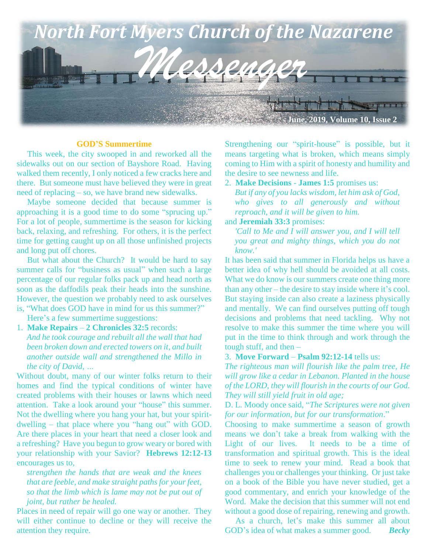

#### **GOD'S Summertime**

 This week, the city swooped in and reworked all the sidewalks out on our section of Bayshore Road. Having walked them recently, I only noticed a few cracks here and there. But someone must have believed they were in great need of replacing – so, we have brand new sidewalks.

 Maybe someone decided that because summer is approaching it is a good time to do some "sprucing up." For a lot of people, summertime is the season for kicking back, relaxing, and refreshing. For others, it is the perfect time for getting caught up on all those unfinished projects and long put off chores.

 But what about the Church? It would be hard to say summer calls for "business as usual" when such a large percentage of our regular folks pack up and head north as soon as the daffodils peak their heads into the sunshine. However, the question we probably need to ask ourselves is, "What does GOD have in mind for us this summer?"

Here's a few summertime suggestions:

1. **Make Repairs** – **2 Chronicles 32:5** records: *And he took courage and rebuilt all the wall that had been broken down and erected towers on it, and built another outside wall and strengthened the Millo in the city of David, …*

Without doubt, many of our winter folks return to their homes and find the typical conditions of winter have created problems with their houses or lawns which need attention. Take a look around your "house" this summer. Not the dwelling where you hang your hat, but your spiritdwelling – that place where you "hang out" with GOD. Are there places in your heart that need a closer look and a refreshing? Have you begun to grow weary or bored with your relationship with your Savior? **Hebrews 12:12-13**  encourages us to,

*strengthen the hands that are weak and the knees that are feeble, and make straight paths for your feet, so that the limb which is lame may not be put out of joint, but rather be healed.*

Places in need of repair will go one way or another. They will either continue to decline or they will receive the attention they require.

Strengthening our "spirit-house" is possible, but it means targeting what is broken, which means simply coming to Him with a spirit of honesty and humility and the desire to see newness and life.

2. **Make Decisions** - **James 1:5** promises us: *But if any of you lacks wisdom, let him ask of God, who gives to all generously and without reproach, and it will be given to him.*

### and **Jeremiah 33:3** promises:

*'Call to Me and I will answer you, and I will tell you great and mighty things, which you do not know.'*

It has been said that summer in Florida helps us have a better idea of why hell should be avoided at all costs. What we do know is our summers create one thing more than any other – the desire to stay inside where it's cool. But staying inside can also create a laziness physically and mentally. We can find ourselves putting off tough decisions and problems that need tackling. Why not resolve to make this summer the time where you will put in the time to think through and work through the tough stuff, and then –

#### 3. **Move Forward** – **Psalm 92:12-14** tells us:

*The righteous man will flourish like the palm tree, He will grow like a cedar in Lebanon. Planted in the house of the LORD, they will flourish in the courts of our God. They will still yield fruit in old age;* 

D. L. Moody once said, "*The Scriptures were not given for our information, but for our transformation*."

Choosing to make summertime a season of growth means we don't take a break from walking with the Light of our lives. It needs to be a time of transformation and spiritual growth. This is the ideal time to seek to renew your mind. Read a book that challenges you or challenges your thinking. Or just take on a book of the Bible you have never studied, get a good commentary, and enrich your knowledge of the Word. Make the decision that this summer will not end without a good dose of repairing, renewing and growth.

 As a church, let's make this summer all about GOD's idea of what makes a summer good. *Becky*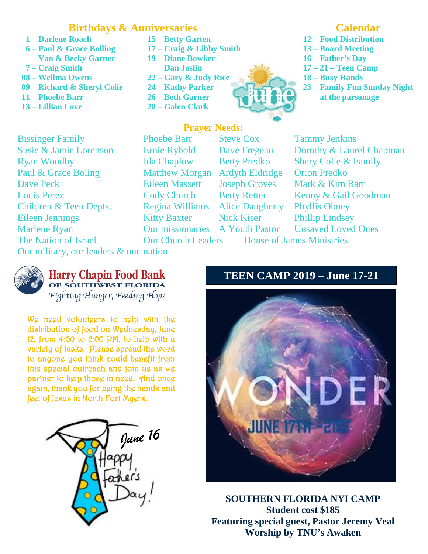## **Birthdays & Anniversaries**

- **1 – Darlene Roach 15 – Betty Garten**
- **6 – Paul & Grace Bolling 17 – Craig & Libby Smith Van & Becky Garner 19 – Diane Bowker**
- **7 – Craig Smith Dan Joslin**
- **08 – Wellma Owens 22 – Gary & Judy Rice**
- **09 – Richard & Sheryl Colie 24 – Kathy Parker**
- **11 – Phoebe Barr 26 – Beth Garner**
- **13 – Lillian Love 28 – Galen Clark**
- 
- -
- 
- 
- 



## **Prayer Needs:**

Eileen Jennings<br>Marlene Ryan **The Nation of Israel** Bissinger Family Phoebe Barr Steve Cox Tammy Jenkins Ryan Woodby Ida Chaplow Betty Predko Shery Colie & Family Paul & Grace Boling Matthew Morgan Ardyth Eldridge Orion Predko Dave Peck Eileen Massett Joseph Groves Mark & Kim Barr Louis Perez Cody Church Betty Retter Kenny & Gail Goodman Children & Teen Depts. Regina Williams Alice Daugherty Phyllis Obney

Kitty Baxter Nick Kiser Phillip Lindsey

Susie & Jamie Lorenson Ernie Rybold Dave Fregeau Dorothy & Laurel Chapman Our missionaries A Youth Pastor Unsaved Loved Ones

**Our Church Leaders** House of James Ministries

 Our military, our leaders & our nation



# **Harry Chapin Food Bank** OF SOUTHWEST FLORIDA

Fighting Hunger, Feeding Hope

We need volunteers to help with the distribution of food on Wednesday, June 12, from 4:00 to 6:00 PM, to help with a variety of tasks. Please spread the word to anyone you think could benefit from this special outreach and join us as we partner to help those in need. And once again, thank you for being the hands and feet of Jesus in North Fort Myers.



# **TEEN CAMP 2019 – June 17-21**



**SOUTHERN FLORIDA NYI CAMP Student cost \$185 Featuring special guest, Pastor Jeremy Veal Worship by TNU's Awaken**

## **Calendar**

- **12 – Food Distribution**
- **13 – Board Meeting**
- **16 – Father's Day**
- **17 – 21 – Teen Camp**
- **18 – Busy Hands**
- **23 – Family Fun Sunday Night**
	- **at the parsonage**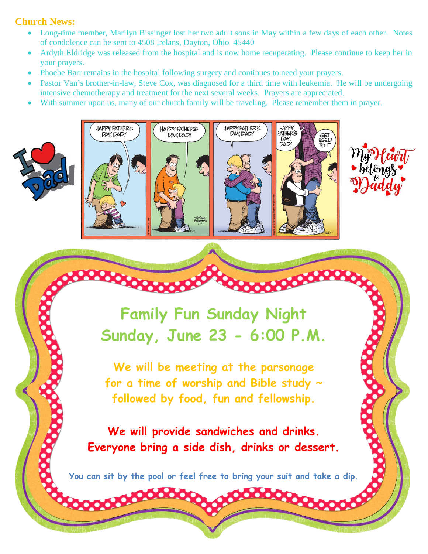## **Church News:**

- Long-time member, Marilyn Bissinger lost her two adult sons in May within a few days of each other. Notes of condolence can be sent to 4508 Irelans, Dayton, Ohio 45440
- Ardyth Eldridge was released from the hospital and is now home recuperating. Please continue to keep her in your prayers.
- Phoebe Barr remains in the hospital following surgery and continues to need your prayers.
- Pastor Van's brother-in-law, Steve Cox, was diagnosed for a third time with leukemia. He will be undergoing intensive chemotherapy and treatment for the next several weeks. Prayers are appreciated.
- With summer upon us, many of our church family will be traveling. Please remember them in prayer.





**Family Fun Sunday Night Sunday, June 23 - 6:00 P.M.**

**We will be meeting at the parsonage for a time of worship and Bible study ~ followed by food, fun and fellowship.**

**We will provide sandwiches and drinks. Everyone bring a side dish, drinks or dessert.**

**You can sit by the pool or feel free to bring your suit and take a dip.**